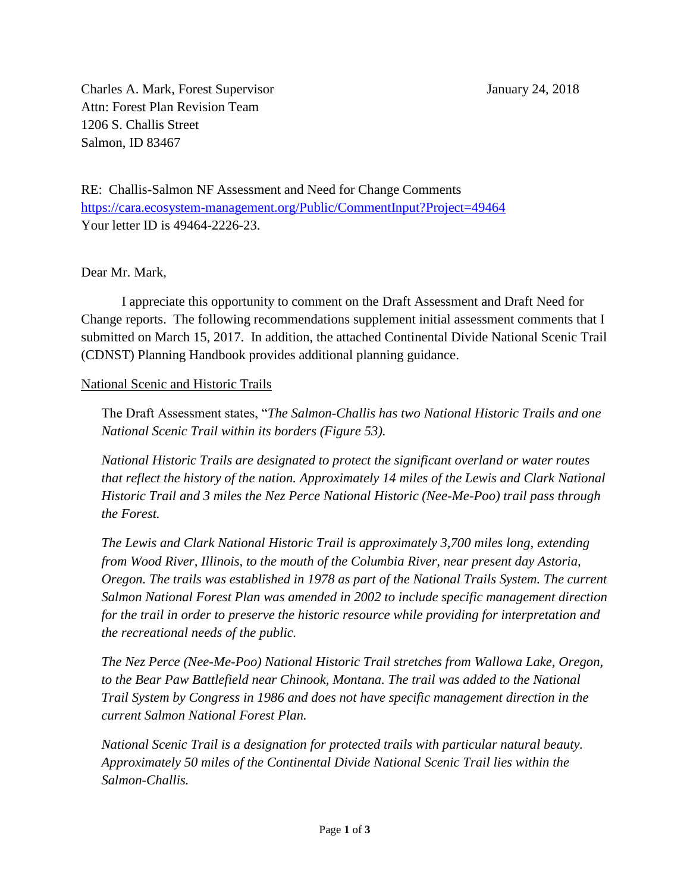Charles A. Mark, Forest Supervisor January 24, 2018 Attn: Forest Plan Revision Team 1206 S. Challis Street Salmon, ID 83467

RE: Challis-Salmon NF Assessment and Need for Change Comments <https://cara.ecosystem-management.org/Public/CommentInput?Project=49464> Your letter ID is 49464-2226-23.

Dear Mr. Mark,

I appreciate this opportunity to comment on the Draft Assessment and Draft Need for Change reports. The following recommendations supplement initial assessment comments that I submitted on March 15, 2017. In addition, the attached Continental Divide National Scenic Trail (CDNST) Planning Handbook provides additional planning guidance.

## National Scenic and Historic Trails

The Draft Assessment states, "*The Salmon-Challis has two National Historic Trails and one National Scenic Trail within its borders (Figure 53).*

*National Historic Trails are designated to protect the significant overland or water routes that reflect the history of the nation. Approximately 14 miles of the Lewis and Clark National Historic Trail and 3 miles the Nez Perce National Historic (Nee-Me-Poo) trail pass through the Forest.* 

*The Lewis and Clark National Historic Trail is approximately 3,700 miles long, extending from Wood River, Illinois, to the mouth of the Columbia River, near present day Astoria, Oregon. The trails was established in 1978 as part of the National Trails System. The current Salmon National Forest Plan was amended in 2002 to include specific management direction for the trail in order to preserve the historic resource while providing for interpretation and the recreational needs of the public.* 

*The Nez Perce (Nee-Me-Poo) National Historic Trail stretches from Wallowa Lake, Oregon,*  to the Bear Paw Battlefield near Chinook, Montana. The trail was added to the National *Trail System by Congress in 1986 and does not have specific management direction in the current Salmon National Forest Plan.* 

*National Scenic Trail is a designation for protected trails with particular natural beauty. Approximately 50 miles of the Continental Divide National Scenic Trail lies within the Salmon-Challis.*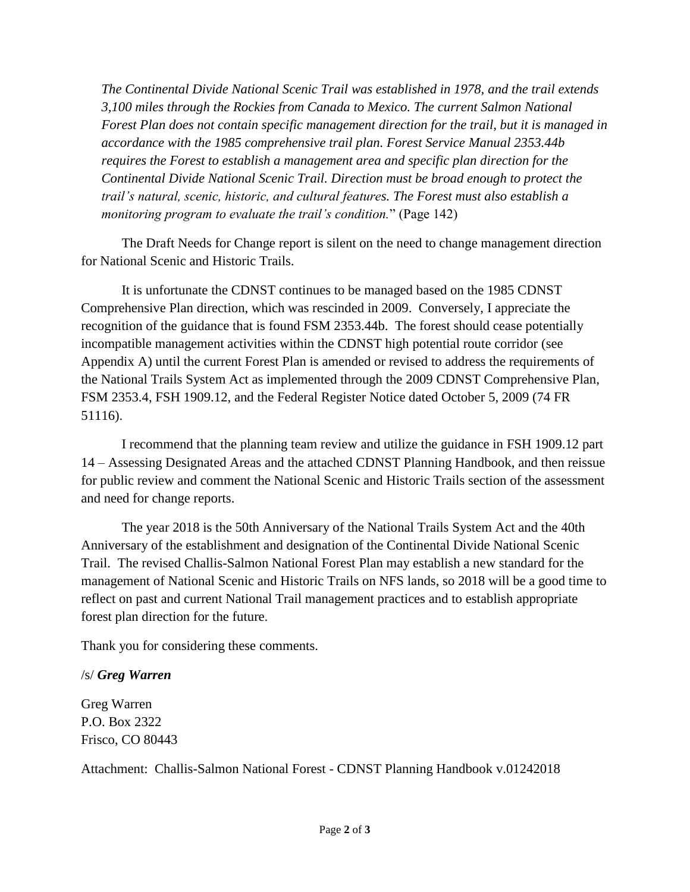*The Continental Divide National Scenic Trail was established in 1978, and the trail extends 3,100 miles through the Rockies from Canada to Mexico. The current Salmon National Forest Plan does not contain specific management direction for the trail, but it is managed in accordance with the 1985 comprehensive trail plan. Forest Service Manual 2353.44b requires the Forest to establish a management area and specific plan direction for the Continental Divide National Scenic Trail. Direction must be broad enough to protect the trail's natural, scenic, historic, and cultural features. The Forest must also establish a monitoring program to evaluate the trail's condition.*" (Page 142)

The Draft Needs for Change report is silent on the need to change management direction for National Scenic and Historic Trails.

It is unfortunate the CDNST continues to be managed based on the 1985 CDNST Comprehensive Plan direction, which was rescinded in 2009. Conversely, I appreciate the recognition of the guidance that is found FSM 2353.44b. The forest should cease potentially incompatible management activities within the CDNST high potential route corridor (see Appendix A) until the current Forest Plan is amended or revised to address the requirements of the National Trails System Act as implemented through the 2009 CDNST Comprehensive Plan, FSM 2353.4, FSH 1909.12, and the Federal Register Notice dated October 5, 2009 (74 FR 51116).

I recommend that the planning team review and utilize the guidance in FSH 1909.12 part 14 – Assessing Designated Areas and the attached CDNST Planning Handbook, and then reissue for public review and comment the National Scenic and Historic Trails section of the assessment and need for change reports.

The year 2018 is the 50th Anniversary of the National Trails System Act and the 40th Anniversary of the establishment and designation of the Continental Divide National Scenic Trail. The revised Challis-Salmon National Forest Plan may establish a new standard for the management of National Scenic and Historic Trails on NFS lands, so 2018 will be a good time to reflect on past and current National Trail management practices and to establish appropriate forest plan direction for the future.

Thank you for considering these comments.

## /s/ *Greg Warren*

Greg Warren P.O. Box 2322 Frisco, CO 80443

Attachment: Challis-Salmon National Forest - CDNST Planning Handbook v.01242018